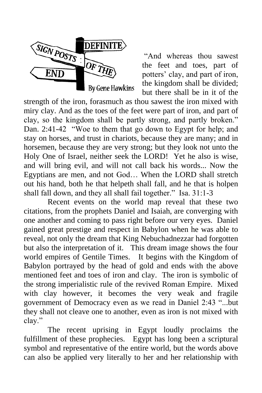

"And whereas thou sawest the feet and toes, part of potters" clay, and part of iron, the kingdom shall be divided; but there shall be in it of the

strength of the iron, forasmuch as thou sawest the iron mixed with miry clay. And as the toes of the feet were part of iron, and part of clay, so the kingdom shall be partly strong, and partly broken." Dan. 2:41-42 "Woe to them that go down to Egypt for help; and stay on horses, and trust in chariots, because they are many; and in horsemen, because they are very strong; but they look not unto the Holy One of Israel, neither seek the LORD! Yet he also is wise, and will bring evil, and will not call back his words... Now the Egyptians are men, and not God… When the LORD shall stretch out his hand, both he that helpeth shall fall, and he that is holpen shall fall down, and they all shall fail together." Isa. 31:1-3

Recent events on the world map reveal that these two citations, from the prophets Daniel and Isaiah, are converging with one another and coming to pass right before our very eyes. Daniel gained great prestige and respect in Babylon when he was able to reveal, not only the dream that King Nebuchadnezzar had forgotten but also the interpretation of it. This dream image shows the four world empires of Gentile Times. It begins with the Kingdom of Babylon portrayed by the head of gold and ends with the above mentioned feet and toes of iron and clay. The iron is symbolic of the strong imperialistic rule of the revived Roman Empire. Mixed with clay however, it becomes the very weak and fragile government of Democracy even as we read in Daniel 2:43 "...but they shall not cleave one to another, even as iron is not mixed with clay."

The recent uprising in Egypt loudly proclaims the fulfillment of these prophecies. Egypt has long been a scriptural symbol and representative of the entire world, but the words above can also be applied very literally to her and her relationship with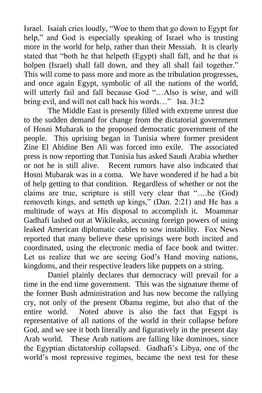Israel. Isaiah cries loudly, "Woe to them that go down to Egypt for help," and God is especially speaking of Israel who is trusting more in the world for help, rather than their Messiah. It is clearly stated that "both he that helpeth (Egypt) shall fall, and he that is holpen (Israel) shall fall down, and they all shall fail together." This will come to pass more and more as the tribulation progresses, and once again Egypt, symbolic of all the nations of the world, will utterly fail and fall because God "…Also is wise, and will bring evil, and will not call back his words…" Isa. 31:2

The Middle East is presently filled with extreme unrest due to the sudden demand for change from the dictatorial government of Hosni Mubarak to the proposed democratic government of the people. This uprising began in Tunisia where former president Zine El Abidine Ben Ali was forced into exile. The associated press is now reporting that Tunisia has asked Saudi Arabia whether or not he is still alive. Recent rumors have also indicated that Hosni Mubarak was in a coma. We have wondered if he had a bit of help getting to that condition. Regardless of whether or not the claims are true, scripture is still very clear that "….he (God) removeth kings, and setteth up kings," (Dan. 2:21) and He has a multitude of ways at His disposal to accomplish it. Moammar Gadhafi lashed out at Wikileaks, accusing foreign powers of using leaked American diplomatic cables to sow instability. Fox News reported that many believe these uprisings were both incited and coordinated, using the electronic media of face book and twitter. Let us realize that we are seeing God's Hand moving nations, kingdoms, and their respective leaders like puppets on a string.

Daniel plainly declares that democracy will prevail for a time in the end time government. This was the signature theme of the former Bush administration and has now become the rallying cry, not only of the present Obama regime, but also that of the entire world. Noted above is also the fact that Egypt is representative of all nations of the world in their collapse before God, and we see it both literally and figuratively in the present day Arab world. These Arab nations are falling like dominoes, since the Egyptian dictatorship collapsed. Gadhafi"s Libya, one of the world"s most repressive regimes, became the next test for these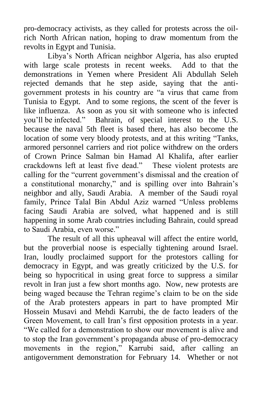pro-democracy activists, as they called for protests across the oilrich North African nation, hoping to draw momentum from the revolts in Egypt and Tunisia.

Libya"s North African neighbor Algeria, has also erupted with large scale protests in recent weeks. Add to that the demonstrations in Yemen where President Ali Abdullah Seleh rejected demands that he step aside, saying that the antigovernment protests in his country are "a virus that came from Tunisia to Egypt. And to some regions, the scent of the fever is like influenza. As soon as you sit with someone who is infected you"ll be infected." Bahrain, of special interest to the U.S. because the naval 5th fleet is based there, has also become the location of some very bloody protests, and at this writing "Tanks, armored personnel carriers and riot police withdrew on the orders of Crown Prince Salman bin Hamad Al Khalifa, after earlier crackdowns left at least five dead." These violent protests are calling for the "current government"s dismissal and the creation of a constitutional monarchy," and is spilling over into Bahrain"s neighbor and ally, Saudi Arabia. A member of the Saudi royal family, Prince Talal Bin Abdul Aziz warned "Unless problems facing Saudi Arabia are solved, what happened and is still happening in some Arab countries including Bahrain, could spread to Saudi Arabia, even worse."

The result of all this upheaval will affect the entire world, but the proverbial noose is especially tightening around Israel. Iran, loudly proclaimed support for the protestors calling for democracy in Egypt, and was greatly criticized by the U.S. for being so hypocritical in using great force to suppress a similar revolt in Iran just a few short months ago. Now, new protests are being waged because the Tehran regime's claim to be on the side of the Arab protesters appears in part to have prompted Mir Hossein Musavi and Mehdi Karrubi, the de facto leaders of the Green Movement, to call Iran"s first opposition protests in a year. "We called for a demonstration to show our movement is alive and to stop the Iran government's propaganda abuse of pro-democracy movements in the region," Karrubi said, after calling an antigovernment demonstration for February 14. Whether or not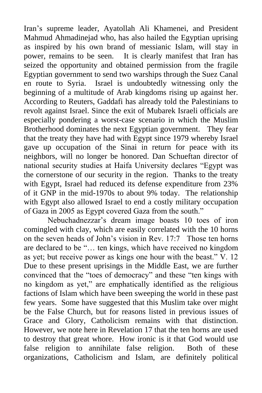Iran"s supreme leader, Ayatollah Ali Khamenei, and President Mahmud Ahmadinejad who, has also hailed the Egyptian uprising as inspired by his own brand of messianic Islam, will stay in power, remains to be seen. It is clearly manifest that Iran has seized the opportunity and obtained permission from the fragile Egyptian government to send two warships through the Suez Canal en route to Syria. Israel is undoubtedly witnessing only the beginning of a multitude of Arab kingdoms rising up against her. According to Reuters, Gaddafi has already told the Palestinians to revolt against Israel. Since the exit of Mubarek Israeli officials are especially pondering a worst-case scenario in which the Muslim Brotherhood dominates the next Egyptian government. They fear that the treaty they have had with Egypt since 1979 whereby Israel gave up occupation of the Sinai in return for peace with its neighbors, will no longer be honored. Dan Schueftan director of national security studies at Haifa University declares "Egypt was the cornerstone of our security in the region. Thanks to the treaty with Egypt, Israel had reduced its defense expenditure from 23% of it GNP in the mid-1970s to about 9% today. The relationship with Egypt also allowed Israel to end a costly military occupation of Gaza in 2005 as Egypt covered Gaza from the south."

Nebuchadnezzar"s dream image boasts 10 toes of iron comingled with clay, which are easily correlated with the 10 horns on the seven heads of John"s vision in Rev. 17:7 Those ten horns are declared to be "… ten kings, which have received no kingdom as yet; but receive power as kings one hour with the beast." V. 12 Due to these present uprisings in the Middle East, we are further convinced that the "toes of democracy" and these "ten kings with no kingdom as yet," are emphatically identified as the religious factions of Islam which have been sweeping the world in these past few years. Some have suggested that this Muslim take over might be the False Church, but for reasons listed in previous issues of Grace and Glory, Catholicism remains with that distinction. However, we note here in Revelation 17 that the ten horns are used to destroy that great whore. How ironic is it that God would use false religion to annihilate false religion. Both of these organizations, Catholicism and Islam, are definitely political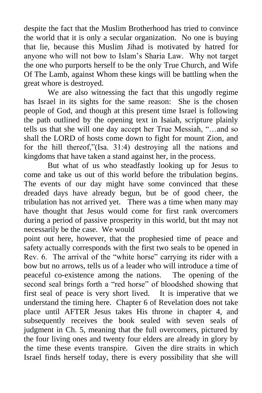despite the fact that the Muslim Brotherhood has tried to convince the world that it is only a secular organization. No one is buying that lie, because this Muslim Jihad is motivated by hatred for anyone who will not bow to Islam"s Sharia Law. Why not target the one who purports herself to be the only True Church, and Wife Of The Lamb, against Whom these kings will be battling when the great whore is destroyed.

We are also witnessing the fact that this ungodly regime has Israel in its sights for the same reason: She is the chosen people of God, and though at this present time Israel is following the path outlined by the opening text in Isaiah, scripture plainly tells us that she will one day accept her True Messiah, "…and so shall the LORD of hosts come down to fight for mount Zion, and for the hill thereof,"(Isa. 31:4) destroying all the nations and kingdoms that have taken a stand against her, in the process.

But what of us who steadfastly looking up for Jesus to come and take us out of this world before the tribulation begins. The events of our day might have some convinced that these dreaded days have already begun, but be of good cheer, the tribulation has not arrived yet. There was a time when many may have thought that Jesus would come for first rank overcomers during a period of passive prosperity in this world, but tht may not necessarily be the case. We would

point out here, however, that the prophesied time of peace and safety actually corresponds with the first two seals to be opened in Rev. 6. The arrival of the "white horse" carrying its rider with a bow but no arrows, tells us of a leader who will introduce a time of peaceful co-existence among the nations. The opening of the second seal brings forth a "red horse" of bloodshed showing that first seal of peace is very short lived. It is imperative that we understand the timing here. Chapter 6 of Revelation does not take place until AFTER Jesus takes His throne in chapter 4, and subsequently receives the book sealed with seven seals of judgment in Ch. 5, meaning that the full overcomers, pictured by the four living ones and twenty four elders are already in glory by the time these events transpire. Given the dire straits in which Israel finds herself today, there is every possibility that she will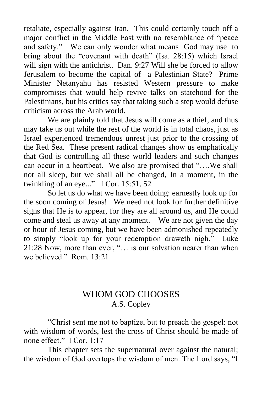retaliate, especially against Iran. This could certainly touch off a major conflict in the Middle East with no resemblance of "peace and safety." We can only wonder what means God may use to bring about the "covenant with death" (Isa. 28:15) which Israel will sign with the antichrist. Dan. 9:27 Will she be forced to allow Jerusalem to become the capital of a Palestinian State? Prime Minister Netanyahu has resisted Western pressure to make compromises that would help revive talks on statehood for the Palestinians, but his critics say that taking such a step would defuse criticism across the Arab world.

We are plainly told that Jesus will come as a thief, and thus may take us out while the rest of the world is in total chaos, just as Israel experienced tremendous unrest just prior to the crossing of the Red Sea. These present radical changes show us emphatically that God is controlling all these world leaders and such changes can occur in a heartbeat. We also are promised that "….We shall not all sleep, but we shall all be changed, In a moment, in the twinkling of an eye..." I Cor. 15:51, 52

So let us do what we have been doing: earnestly look up for the soon coming of Jesus! We need not look for further definitive signs that He is to appear, for they are all around us, and He could come and steal us away at any moment. We are not given the day or hour of Jesus coming, but we have been admonished repeatedly to simply "look up for your redemption draweth nigh." Luke 21:28 Now, more than ever, "… is our salvation nearer than when we believed." Rom. 13:21

## WHOM GOD CHOOSES A.S. Copley

"Christ sent me not to baptize, but to preach the gospel: not with wisdom of words, lest the cross of Christ should be made of none effect." I Cor. 1:17

This chapter sets the supernatural over against the natural; the wisdom of God overtops the wisdom of men. The Lord says, "I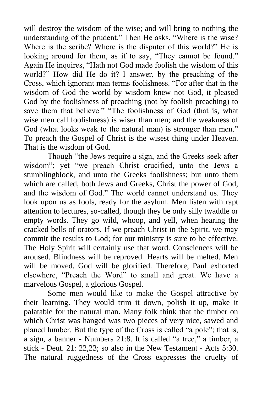will destroy the wisdom of the wise; and will bring to nothing the understanding of the prudent." Then He asks, "Where is the wise? Where is the scribe? Where is the disputer of this world?" He is looking around for them, as if to say, "They cannot be found." Again He inquires, "Hath not God made foolish the wisdom of this world?" How did He do it? I answer, by the preaching of the Cross, which ignorant man terms foolishness. "For after that in the wisdom of God the world by wisdom knew not God, it pleased God by the foolishness of preaching (not by foolish preaching) to save them that believe." "The foolishness of God (that is, what wise men call foolishness) is wiser than men; and the weakness of God (what looks weak to the natural man) is stronger than men." To preach the Gospel of Christ is the wisest thing under Heaven. That is the wisdom of God.

Though "the Jews require a sign, and the Greeks seek after wisdom"; yet "we preach Christ crucified, unto the Jews a stumblingblock, and unto the Greeks foolishness; but unto them which are called, both Jews and Greeks, Christ the power of God, and the wisdom of God." The world cannot understand us. They look upon us as fools, ready for the asylum. Men listen with rapt attention to lectures, so-called, though they be only silly twaddle or empty words. They go wild, whoop, and yell, when hearing the cracked bells of orators. If we preach Christ in the Spirit, we may commit the results to God; for our ministry is sure to be effective. The Holy Spirit will certainly use that word. Consciences will be aroused. Blindness will be reproved. Hearts will be melted. Men will be moved. God will be glorified. Therefore, Paul exhorted elsewhere, "Preach the Word" to small and great. We have a marvelous Gospel, a glorious Gospel.

Some men would like to make the Gospel attractive by their learning. They would trim it down, polish it up, make it palatable for the natural man. Many folk think that the timber on which Christ was hanged was two pieces of very nice, sawed and planed lumber. But the type of the Cross is called "a pole"; that is, a sign, a banner - Numbers 21:8. It is called "a tree," a timber, a stick - Deut. 21: 22,23; so also in the New Testament - Acts 5:30. The natural ruggedness of the Cross expresses the cruelty of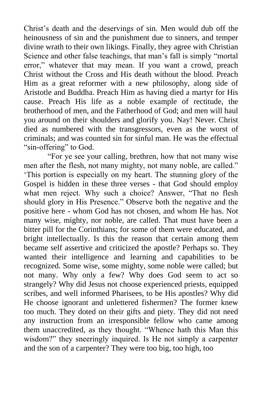Christ"s death and the deservings of sin. Men would dub off the heinousness of sin and the punishment due to sinners, and temper divine wrath to their own likings. Finally, they agree with Christian Science and other false teachings, that man's fall is simply "mortal" error," whatever that may mean. If you want a crowd, preach Christ without the Cross and His death without the blood. Preach Him as a great reformer with a new philosophy, along side of Aristotle and Buddha. Preach Him as having died a martyr for His cause. Preach His life as a noble example of rectitude, the brotherhood of men, and the Fatherhood of God; and men will haul you around on their shoulders and glorify you. Nay! Never. Christ died as numbered with the transgressors, even as the worst of criminals; and was counted sin for sinful man. He was the effectual "sin-offering" to God.

"For ye see your calling, brethren, how that not many wise men after the flesh, not many mighty, not many noble, are called." "This portion is especially on my heart. The stunning glory of the Gospel is hidden in these three verses - that God should employ what men reject. Why such a choice? Answer, "That no flesh should glory in His Presence." Observe both the negative and the positive here - whom God has not chosen, and whom He has. Not many wise, mighty, nor noble, are called. That must have been a bitter pill for the Corinthians; for some of them were educated, and bright intellectually. Is this the reason that certain among them became self assertive and criticized the apostle? Perhaps so. They wanted their intelligence and learning and capabilities to be recognized. Some wise, some mighty, some noble were called; but not many. Why only a few? Why does God seem to act so strangely? Why did Jesus not choose experienced priests, equipped scribes, and well informed Pharisees, to be His apostles? Why did He choose ignorant and unlettered fishermen? The former knew too much. They doted on their gifts and piety. They did not need any instruction from an irresponsible fellow who came among them unaccredited, as they thought. "Whence hath this Man this wisdom?" they sneeringly inquired. Is He not simply a carpenter and the son of a carpenter? They were too big, too high, too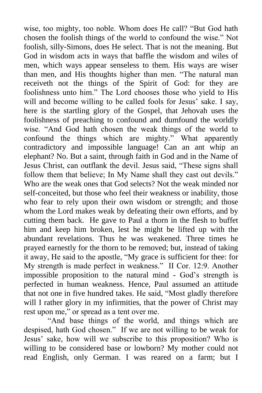wise, too mighty, too noble. Whom does He call? "But God hath chosen the foolish things of the world to confound the wise." Not foolish, silly-Simons, does He select. That is not the meaning. But God in wisdom acts in ways that baffle the wisdom and wiles of men, which ways appear senseless to them. His ways are wiser than men, and His thoughts higher than men. "The natural man receiveth not the things of the Spirit of God: for they are foolishness unto him." The Lord chooses those who yield to His will and become willing to be called fools for Jesus' sake. I say, here is the startling glory of the Gospel, that Jehovah uses the foolishness of preaching to confound and dumfound the worldly wise. "And God hath chosen the weak things of the world to confound the things which are mighty." What apparently contradictory and impossible language! Can an ant whip an elephant? No. But a saint, through faith in God and in the Name of Jesus Christ, can outflank the devil. Jesus said, "These signs shall follow them that believe; In My Name shall they cast out devils." Who are the weak ones that God selects? Not the weak minded nor self-conceited, but those who feel their weakness or inability, those who fear to rely upon their own wisdom or strength; and those whom the Lord makes weak by defeating their own efforts, and by cutting them back. He gave to Paul a thorn in the flesh to buffet him and keep him broken, lest he might be lifted up with the abundant revelations. Thus he was weakened. Three times he prayed earnestly for the thorn to be removed; but, instead of taking it away, He said to the apostle, "My grace is sufficient for thee: for My strength is made perfect in weakness." II Cor. 12:9. Another impossible proposition to the natural mind - God"s strength is perfected in human weakness. Hence, Paul assumed an attitude that not one in five hundred takes. He said, "Most gladly therefore will I rather glory in my infirmities, that the power of Christ may rest upon me," or spread as a tent over me.

"And base things of the world, and things which are despised, hath God chosen." If we are not willing to be weak for Jesus" sake, how will we subscribe to this proposition? Who is willing to be considered base or lowborn? My mother could not read English, only German. I was reared on a farm; but I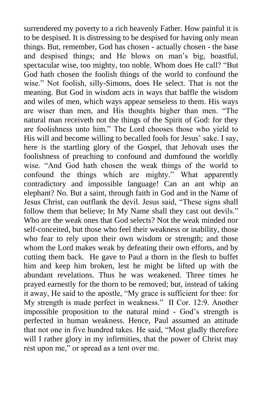surrendered my poverty to a rich heavenly Father. How painful it is to be despised. It is distressing to be despised for having only mean things. But, remember, God has chosen - actually chosen - the base and despised things; and He blows on man's big, boastful, spectacular wise, too mighty, too noble. Whom does He call? "But God hath chosen the foolish things of the world to confound the wise." Not foolish, silly-Simons, does He select. That is not the meaning. But God in wisdom acts in ways that baffle the wisdom and wiles of men, which ways appear senseless to them. His ways are wiser than men, and His thoughts higher than men. "The natural man receiveth not the things of the Spirit of God: for they are foolishness unto him." The Lord chooses those who yield to His will and become willing to becalled fools for Jesus' sake. I say, here is the startling glory of the Gospel, that Jehovah uses the foolishness of preaching to confound and dumfound the worldly wise. "And God hath chosen the weak things of the world to confound the things which are mighty." What apparently contradictory and impossible language! Can an ant whip an elephant? No. But a saint, through faith in God and in the Name of Jesus Christ, can outflank the devil. Jesus said, "These signs shall follow them that believe; In My Name shall they cast out devils." Who are the weak ones that God selects? Not the weak minded nor self-conceited, but those who feel their weakness or inability, those who fear to rely upon their own wisdom or strength; and those whom the Lord makes weak by defeating their own efforts, and by cutting them back. He gave to Paul a thorn in the flesh to buffet him and keep him broken, lest he might be lifted up with the abundant revelations. Thus he was weakened. Three times he prayed earnestly for the thorn to be removed; but, instead of taking it away, He said to the apostle, "My grace is sufficient for thee: for My strength is made perfect in weakness." II Cor. 12:9. Another impossible proposition to the natural mind - God"s strength is perfected in human weakness. Hence, Paul assumed an attitude that not one in five hundred takes. He said, "Most gladly therefore will I rather glory in my infirmities, that the power of Christ may rest upon me," or spread as a tent over me.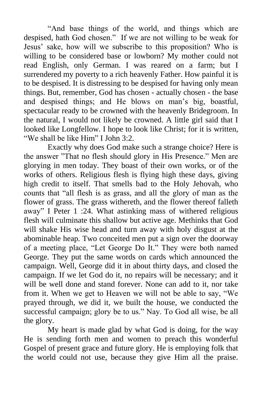"And base things of the world, and things which are despised, hath God chosen." If we are not willing to be weak for Jesus" sake, how will we subscribe to this proposition? Who is willing to be considered base or lowborn? My mother could not read English, only German. I was reared on a farm; but I surrendered my poverty to a rich heavenly Father. How painful it is to be despised. It is distressing to be despised for having only mean things. But, remember, God has chosen - actually chosen - the base and despised things; and He blows on man's big, boastful, spectacular ready to be crowned with the heavenly Bridegroom. In the natural, I would not likely be crowned. A little girl said that I looked like Longfellow. I hope to look like Christ; for it is written, "We shall be like Him" I John 3:2.

Exactly why does God make such a strange choice? Here is the answer "That no flesh should glory in His Presence." Men are glorying in men today. They boast of their own works, or of the works of others. Religious flesh is flying high these days, giving high credit to itself. That smells bad to the Holy Jehovah, who counts that "all flesh is as grass, and all the glory of man as the flower of grass. The grass withereth, and the flower thereof falleth away" I Peter 1 :24. What astinking mass of withered religious flesh will culminate this shallow but active age. Methinks that God will shake His wise head and turn away with holy disgust at the abominable heap. Two conceited men put a sign over the doorway of a meeting place, "Let George Do It." They were both named George. They put the same words on cards which announced the campaign. Well, George did it in about thirty days, and closed the campaign. If we let God do it, no repairs will be necessary; and it will be well done and stand forever. None can add to it, nor take from it. When we get to Heaven we will not be able to say, "We prayed through, we did it, we built the house, we conducted the successful campaign; glory be to us." Nay. To God all wise, be all the glory.

My heart is made glad by what God is doing, for the way He is sending forth men and women to preach this wonderful Gospel of present grace and future glory. He is employing folk that the world could not use, because they give Him all the praise.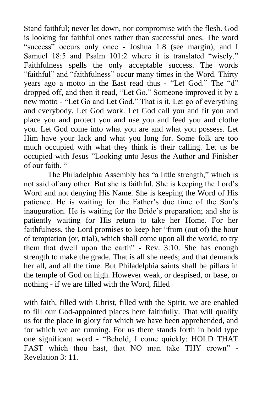Stand faithful; never let down, nor compromise with the flesh. God is looking for faithful ones rather than successful ones. The word "success" occurs only once - Joshua 1:8 (see margin), and I Samuel 18:5 and Psalm 101:2 where it is translated "wisely." Faithfulness spells the only acceptable success. The words "faithful" and "faithfulness" occur many times in the Word. Thirty years ago a motto in the East read thus - "Let God." The "d" dropped off, and then it read, "Let Go." Someone improved it by a new motto - "Let Go and Let God." That is it. Let go of everything and everybody. Let God work. Let God call you and fit you and place you and protect you and use you and feed you and clothe you. Let God come into what you are and what you possess. Let Him have your lack and what you long for. Some folk are too much occupied with what they think is their calling. Let us be occupied with Jesus "Looking unto Jesus the Author and Finisher of our faith. "

The Philadelphia Assembly has "a little strength," which is not said of any other. But she is faithful. She is keeping the Lord"s Word and not denying His Name. She is keeping the Word of His patience. He is waiting for the Father"s due time of the Son"s inauguration. He is waiting for the Bride"s preparation; and she is patiently waiting for His return to take her Home. For her faithfulness, the Lord promises to keep her "from (out of) the hour of temptation (or, trial), which shall come upon all the world, to try them that dwell upon the earth" - Rev. 3:10. She has enough strength to make the grade. That is all she needs; and that demands her all, and all the time. But Philadelphia saints shall be pillars in the temple of God on high. However weak, or despised, or base, or nothing - if we are filled with the Word, filled

with faith, filled with Christ, filled with the Spirit, we are enabled to fill our God-appointed places here faithfully. That will qualify us for the place in glory for which we have been apprehended, and for which we are running. For us there stands forth in bold type one significant word - "Behold, I come quickly: HOLD THAT FAST which thou hast, that NO man take THY crown" - Revelation 3: 11.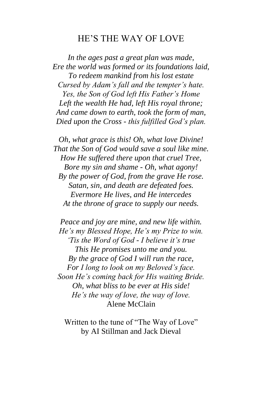#### HE"S THE WAY OF LOVE

*In the ages past a great plan was made, Ere the world was formed or its foundations laid, To redeem mankind from his lost estate Cursed by Adam's fall and the tempter's hate. Yes, the Son of God left His Father's Home Left the wealth He had, left His royal throne; And came down to earth, took the form of man, Died upon the Cross - this fulfilled God's plan.*

*Oh, what grace is this! Oh, what love Divine! That the Son of God would save a soul like mine. How He suffered there upon that cruel Tree, Bore my sin and shame - Oh, what agony! By the power of God, from the grave He rose. Satan, sin, and death are defeated foes. Evermore He lives, and He intercedes At the throne of grace to supply our needs.*

*Peace and joy are mine, and new life within. He's my Blessed Hope, He's my Prize to win. 'Tis the Word of God - I believe it's true This He promises unto me and you. By the grace of God I will run the race, For I long to look on my Beloved's face. Soon He's coming back for His waiting Bride. Oh, what bliss to be ever at His side! He's the way of love, the way of love.* Alene McClain

Written to the tune of "The Way of Love" by AI Stillman and Jack Dieval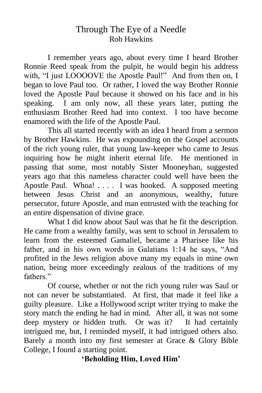## Through The Eye of a Needle Rob Hawkins

I remember years ago, about every time I heard Brother Ronnie Reed speak from the pulpit, he would begin his address with, "I just LOOOOVE the Apostle Paul!" And from then on, I began to love Paul too. Or rather, I loved the way Brother Ronnie loved the Apostle Paul because it showed on his face and in his speaking. I am only now, all these years later, putting the enthusiasm Brother Reed had into context. I too have become enamored with the life of the Apostle Paul.

This all started recently with an idea I heard from a sermon by Brother Hawkins. He was expounding on the Gospel accounts of the rich young ruler, that young law-keeper who came to Jesus inquiring how he might inherit eternal life. He mentioned in passing that some, most notably Sister Mooneyhan, suggested years ago that this nameless character could well have been the Apostle Paul. Whoa! . . . . I was hooked. A supposed meeting between Jesus Christ and an anonymous, wealthy, future persecutor, future Apostle, and man entrusted with the teaching for an entire dispensation of divine grace.

What I did know about Saul was that he fit the description. He came from a wealthy family, was sent to school in Jerusalem to learn from the esteemed Gamaliel, became a Pharisee like his father, and in his own words in Galatians 1:14 he says, "And profited in the Jews religion above many my equals in mine own nation, being more exceedingly zealous of the traditions of my fathers."

Of course, whether or not the rich young ruler was Saul or not can never be substantiated. At first, that made it feel like a guilty pleasure. Like a Hollywood script writer trying to make the story match the ending he had in mind. After all, it was not some deep mystery or hidden truth. Or was it? It had certainly intrigued me, but, I reminded myself, it had intrigued others also. Barely a month into my first semester at Grace & Glory Bible College, I found a starting point.

**"Beholding Him, Loved Him"**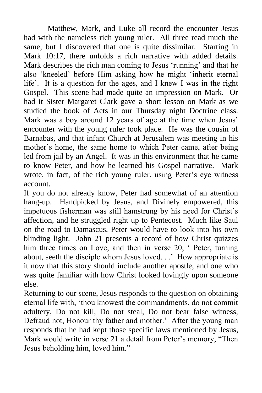Matthew, Mark, and Luke all record the encounter Jesus had with the nameless rich young ruler. All three read much the same, but I discovered that one is quite dissimilar. Starting in Mark 10:17, there unfolds a rich narrative with added details. Mark describes the rich man coming to Jesus 'running' and that he also "kneeled" before Him asking how he might "inherit eternal life'. It is a question for the ages, and I knew I was in the right Gospel. This scene had made quite an impression on Mark. Or had it Sister Margaret Clark gave a short lesson on Mark as we studied the book of Acts in our Thursday night Doctrine class. Mark was a boy around 12 years of age at the time when Jesus' encounter with the young ruler took place. He was the cousin of Barnabas, and that infant Church at Jerusalem was meeting in his mother's home, the same home to which Peter came, after being led from jail by an Angel. It was in this environment that he came to know Peter, and how he learned his Gospel narrative. Mark wrote, in fact, of the rich young ruler, using Peter's eye witness account.

If you do not already know, Peter had somewhat of an attention hang-up. Handpicked by Jesus, and Divinely empowered, this impetuous fisherman was still hamstrung by his need for Christ"s affection, and he struggled right up to Pentecost. Much like Saul on the road to Damascus, Peter would have to look into his own blinding light. John 21 presents a record of how Christ quizzes him three times on Love, and then in verse 20, ' Peter, turning about, seeth the disciple whom Jesus loved. . ." How appropriate is it now that this story should include another apostle, and one who was quite familiar with how Christ looked lovingly upon someone else.

Returning to our scene, Jesus responds to the question on obtaining eternal life with, "thou knowest the commandments, do not commit adultery, Do not kill, Do not steal, Do not bear false witness, Defraud not, Honour thy father and mother.' After the young man responds that he had kept those specific laws mentioned by Jesus, Mark would write in verse 21 a detail from Peter's memory, "Then Jesus beholding him, loved him."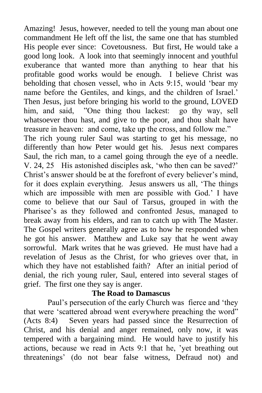Amazing! Jesus, however, needed to tell the young man about one commandment He left off the list, the same one that has stumbled His people ever since: Covetousness. But first, He would take a good long look. A look into that seemingly innocent and youthful exuberance that wanted more than anything to hear that his profitable good works would be enough. I believe Christ was beholding that chosen vessel, who in Acts 9:15, would "bear my name before the Gentiles, and kings, and the children of Israel." Then Jesus, just before bringing his world to the ground, LOVED him, and said, "One thing thou lackest: go thy way, sell whatsoever thou hast, and give to the poor, and thou shalt have treasure in heaven: and come, take up the cross, and follow me."

The rich young ruler Saul was starting to get his message, no differently than how Peter would get his. Jesus next compares Saul, the rich man, to a camel going through the eye of a needle. V. 24, 25 His astonished disciples ask, "who then can be saved?" Christ's answer should be at the forefront of every believer's mind, for it does explain everything. Jesus answers us all, "The things which are impossible with men are possible with God." I have come to believe that our Saul of Tarsus, grouped in with the Pharisee's as they followed and confronted Jesus, managed to break away from his elders, and ran to catch up with The Master. The Gospel writers generally agree as to how he responded when he got his answer. Matthew and Luke say that he went away sorrowful. Mark writes that he was grieved. He must have had a revelation of Jesus as the Christ, for who grieves over that, in which they have not established faith? After an initial period of denial, the rich young ruler, Saul, entered into several stages of grief. The first one they say is anger.

#### **The Road to Damascus**

Paul's persecution of the early Church was fierce and 'they that were "scattered abroad went everywhere preaching the word" (Acts 8:4) Seven years had passed since the Resurrection of Christ, and his denial and anger remained, only now, it was tempered with a bargaining mind. He would have to justify his actions, because we read in Acts 9:1 that he, "yet breathing out threatenings" (do not bear false witness, Defraud not) and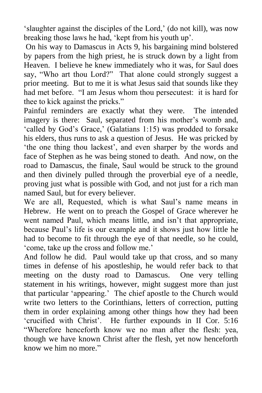'slaughter against the disciples of the Lord,' (do not kill), was now breaking those laws he had, "kept from his youth up".

On his way to Damascus in Acts 9, his bargaining mind bolstered by papers from the high priest, he is struck down by a light from Heaven. I believe he knew immediately who it was, for Saul does say, "Who art thou Lord?" That alone could strongly suggest a prior meeting. But to me it is what Jesus said that sounds like they had met before. "I am Jesus whom thou persecutest: it is hard for thee to kick against the pricks."

Painful reminders are exactly what they were. The intended imagery is there: Saul, separated from his mother's womb and, 'called by God's Grace,' (Galatians 1:15) was prodded to forsake his elders, thus runs to ask a question of Jesus. He was pricked by "the one thing thou lackest", and even sharper by the words and face of Stephen as he was being stoned to death. And now, on the road to Damascus, the finale, Saul would be struck to the ground and then divinely pulled through the proverbial eye of a needle, proving just what is possible with God, and not just for a rich man named Saul, but for every believer.

We are all, Requested, which is what Saul"s name means in Hebrew. He went on to preach the Gospel of Grace wherever he went named Paul, which means little, and isn't that appropriate, because Paul"s life is our example and it shows just how little he had to become to fit through the eye of that needle, so he could, "come, take up the cross and follow me."

And follow he did. Paul would take up that cross, and so many times in defense of his apostleship, he would refer back to that meeting on the dusty road to Damascus. One very telling statement in his writings, however, might suggest more than just that particular "appearing." The chief apostle to the Church would write two letters to the Corinthians, letters of correction, putting them in order explaining among other things how they had been "crucified with Christ". He further expounds in II Cor. 5:16 "Wherefore henceforth know we no man after the flesh: yea, though we have known Christ after the flesh, yet now henceforth know we him no more."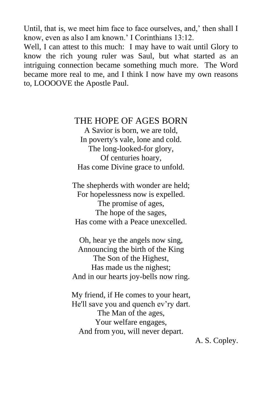Until, that is, we meet him face to face ourselves, and,' then shall I know, even as also I am known." I Corinthians 13:12.

Well, I can attest to this much: I may have to wait until Glory to know the rich young ruler was Saul, but what started as an intriguing connection became something much more. The Word became more real to me, and I think I now have my own reasons to, LOOOOVE the Apostle Paul.

#### THE HOPE OF AGES BORN

A Savior is born, we are told, In poverty's vale, lone and cold. The long-looked-for glory, Of centuries hoary, Has come Divine grace to unfold.

The shepherds with wonder are held; For hopelessness now is expelled. The promise of ages, The hope of the sages, Has come with a Peace unexcelled.

Oh, hear ye the angels now sing, Announcing the birth of the King The Son of the Highest, Has made us the nighest; And in our hearts joy-bells now ring.

My friend, if He comes to your heart, He'll save you and quench ev'ry dart. The Man of the ages, Your welfare engages, And from you, will never depart.

A. S. Copley.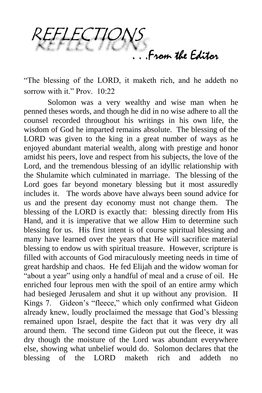From the Editor

"The blessing of the LORD, it maketh rich, and he addeth no sorrow with it." Prov. 10:22

Solomon was a very wealthy and wise man when he penned theses words, and though he did in no wise adhere to all the counsel recorded throughout his writings in his own life, the wisdom of God he imparted remains absolute. The blessing of the LORD was given to the king in a great number of ways as he enjoyed abundant material wealth, along with prestige and honor amidst his peers, love and respect from his subjects, the love of the Lord, and the tremendous blessing of an idyllic relationship with the Shulamite which culminated in marriage. The blessing of the Lord goes far beyond monetary blessing but it most assuredly includes it. The words above have always been sound advice for us and the present day economy must not change them. The blessing of the LORD is exactly that: blessing directly from His Hand, and it is imperative that we allow Him to determine such blessing for us. His first intent is of course spiritual blessing and many have learned over the years that He will sacrifice material blessing to endow us with spiritual treasure. However, scripture is filled with accounts of God miraculously meeting needs in time of great hardship and chaos. He fed Elijah and the widow woman for "about a year" using only a handful of meal and a cruse of oil. He enriched four leprous men with the spoil of an entire army which had besieged Jerusalem and shut it up without any provision. II Kings 7. Gideon"s "fleece," which only confirmed what Gideon already knew, loudly proclaimed the message that God"s blessing remained upon Israel, despite the fact that it was very dry all around them. The second time Gideon put out the fleece, it was dry though the moisture of the Lord was abundant everywhere else, showing what unbelief would do. Solomon declares that the blessing of the LORD maketh rich and addeth no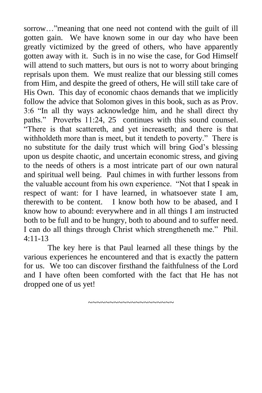sorrow…"meaning that one need not contend with the guilt of ill gotten gain. We have known some in our day who have been greatly victimized by the greed of others, who have apparently gotten away with it. Such is in no wise the case, for God Himself will attend to such matters, but ours is not to worry about bringing reprisals upon them. We must realize that our blessing still comes from Him, and despite the greed of others, He will still take care of His Own. This day of economic chaos demands that we implicitly follow the advice that Solomon gives in this book, such as as Prov. 3:6 "In all thy ways acknowledge him, and he shall direct thy paths." Proverbs 11:24, 25 continues with this sound counsel. "There is that scattereth, and yet increaseth; and there is that withholdeth more than is meet, but it tendeth to poverty." There is no substitute for the daily trust which will bring God"s blessing upon us despite chaotic, and uncertain economic stress, and giving to the needs of others is a most intricate part of our own natural and spiritual well being. Paul chimes in with further lessons from the valuable account from his own experience. "Not that I speak in respect of want: for I have learned, in whatsoever state I am, therewith to be content. I know both how to be abased, and I know how to abound: everywhere and in all things I am instructed both to be full and to be hungry, both to abound and to suffer need. I can do all things through Christ which strengtheneth me." Phil. 4:11-13

The key here is that Paul learned all these things by the various experiences he encountered and that is exactly the pattern for us. We too can discover firsthand the faithfulness of the Lord and I have often been comforted with the fact that He has not dropped one of us yet!

~~~~~~~~~~~~~~~~~~~~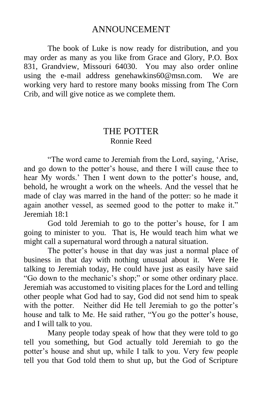## ANNOUNCEMENT

The book of Luke is now ready for distribution, and you may order as many as you like from Grace and Glory, P.O. Box 831, Grandview, Missouri 64030. You may also order online using the e-mail address genehawkins60@msn.com. We are working very hard to restore many books missing from The Corn Crib, and will give notice as we complete them.

#### THE POTTER Ronnie Reed

"The word came to Jeremiah from the Lord, saying, "Arise, and go down to the potter"s house, and there I will cause thee to hear My words.' Then I went down to the potter's house, and, behold, he wrought a work on the wheels. And the vessel that he made of clay was marred in the hand of the potter: so he made it again another vessel, as seemed good to the potter to make it." Jeremiah 18:1

God told Jeremiah to go to the potter's house, for I am going to minister to you. That is, He would teach him what we might call a supernatural word through a natural situation.

The potter's house in that day was just a normal place of business in that day with nothing unusual about it. Were He talking to Jeremiah today, He could have just as easily have said "Go down to the mechanic"s shop;" or some other ordinary place. Jeremiah was accustomed to visiting places for the Lord and telling other people what God had to say, God did not send him to speak with the potter. Neither did He tell Jeremiah to go the potter's house and talk to Me. He said rather, "You go the potter's house, and I will talk to you.

Many people today speak of how that they were told to go tell you something, but God actually told Jeremiah to go the potter"s house and shut up, while I talk to you. Very few people tell you that God told them to shut up, but the God of Scripture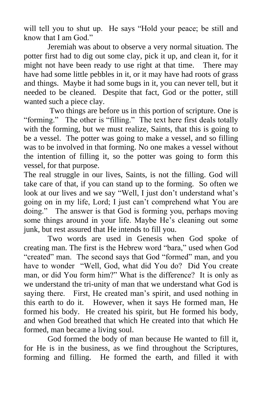will tell you to shut up. He says "Hold your peace; be still and know that I am God."

Jeremiah was about to observe a very normal situation. The potter first had to dig out some clay, pick it up, and clean it, for it might not have been ready to use right at that time. There may have had some little pebbles in it, or it may have had roots of grass and things. Maybe it had some bugs in it, you can never tell, but it needed to be cleaned. Despite that fact, God or the potter, still wanted such a piece clay.

Two things are before us in this portion of scripture. One is "forming." The other is "filling." The text here first deals totally with the forming, but we must realize, Saints, that this is going to be a vessel. The potter was going to make a vessel, and so filling was to be involved in that forming. No one makes a vessel without the intention of filling it, so the potter was going to form this vessel, for that purpose.

The real struggle in our lives, Saints, is not the filling. God will take care of that, if you can stand up to the forming. So often we look at our lives and we say "Well, I just don't understand what's going on in my life, Lord; I just can"t comprehend what You are doing." The answer is that God is forming you, perhaps moving some things around in your life. Maybe He's cleaning out some junk, but rest assured that He intends to fill you.

Two words are used in Genesis when God spoke of creating man. The first is the Hebrew word "bara," used when God "created" man. The second says that God "formed" man, and you have to wonder "Well, God, what did You do? Did You create man, or did You form him?" What is the difference? It is only as we understand the tri-unity of man that we understand what God is saying there. First, He created man"s spirit, and used nothing in this earth to do it. However, when it says He formed man, He formed his body. He created his spirit, but He formed his body, and when God breathed that which He created into that which He formed, man became a living soul.

God formed the body of man because He wanted to fill it, for He is in the business, as we find throughout the Scriptures, forming and filling. He formed the earth, and filled it with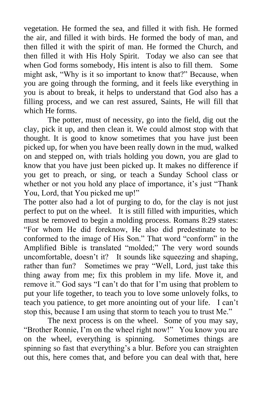vegetation. He formed the sea, and filled it with fish. He formed the air, and filled it with birds. He formed the body of man, and then filled it with the spirit of man. He formed the Church, and then filled it with His Holy Spirit. Today we also can see that when God forms somebody, His intent is also to fill them. Some might ask, "Why is it so important to know that?" Because, when you are going through the forming, and it feels like everything in you is about to break, it helps to understand that God also has a filling process, and we can rest assured, Saints, He will fill that which He forms.

The potter, must of necessity, go into the field, dig out the clay, pick it up, and then clean it. We could almost stop with that thought. It is good to know sometimes that you have just been picked up, for when you have been really down in the mud, walked on and stepped on, with trials holding you down, you are glad to know that you have just been picked up. It makes no difference if you get to preach, or sing, or teach a Sunday School class or whether or not you hold any place of importance, it's just "Thank" You, Lord, that You picked me up!"

The potter also had a lot of purging to do, for the clay is not just perfect to put on the wheel. It is still filled with impurities, which must be removed to begin a molding process. Romans 8:29 states: "For whom He did foreknow, He also did predestinate to be conformed to the image of His Son." That word "conform" in the Amplified Bible is translated "molded;" The very word sounds uncomfortable, doesn't it? It sounds like squeezing and shaping, rather than fun? Sometimes we pray "Well, Lord, just take this thing away from me; fix this problem in my life. Move it, and remove it." God says "I can"t do that for I"m using that problem to put your life together, to teach you to love some unlovely folks, to teach you patience, to get more anointing out of your life. I can"t stop this, because I am using that storm to teach you to trust Me."

The next process is on the wheel. Some of you may say, "Brother Ronnie, I"m on the wheel right now!" You know you are on the wheel, everything is spinning. Sometimes things are spinning so fast that everything's a blur. Before you can straighten out this, here comes that, and before you can deal with that, here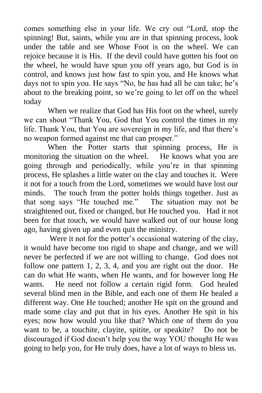comes something else in your life. We cry out "Lord, stop the spinning! But, saints, while you are in that spinning process, look under the table and see Whose Foot is on the wheel. We can rejoice because it is His. If the devil could have gotten his foot on the wheel, he would have spun you off years ago, but God is in control, and knows just how fast to spin you, and He knows what days not to spin you. He says "No, he has had all he can take; he's about to the breaking point, so we"re going to let off on the wheel today

When we realize that God has His foot on the wheel, surely we can shout "Thank You, God that You control the times in my life. Thank You, that You are sovereign in my life, and that there"s no weapon formed against me that can prosper."

When the Potter starts that spinning process, He is monitoring the situation on the wheel. He knows what you are going through and periodically, while you"re in that spinning process, He splashes a little water on the clay and touches it. Were it not for a touch from the Lord, sometimes we would have lost our minds. The touch from the potter holds things together. Just as that song says "He touched me." The situation may not be straightened out, fixed or changed, but He touched you. Had it not been for that touch, we would have walked out of our house long ago, having given up and even quit the ministry.

Were it not for the potter's occasional watering of the clay, it would have become too rigid to shape and change, and we will never be perfected if we are not willing to change. God does not follow one pattern 1, 2, 3, 4, and you are right out the door. He can do what He wants, when He wants, and for however long He wants. He need not follow a certain rigid form. God healed several blind men in the Bible, and each one of them He healed a different way. One He touched; another He spit on the ground and made some clay and put that in his eyes. Another He spit in his eyes; now how would you like that? Which one of them do you want to be, a touchite, clayite, spitite, or speakite? Do not be discouraged if God doesn"t help you the way YOU thought He was going to help you, for He truly does, have a lot of ways to bless us.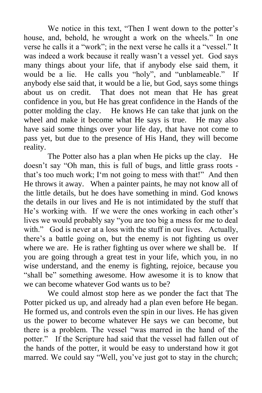We notice in this text, "Then I went down to the potter's house, and, behold, he wrought a work on the wheels." In one verse he calls it a "work"; in the next verse he calls it a "vessel." It was indeed a work because it really wasn't a vessel yet. God says many things about your life, that if anybody else said them, it would be a lie. He calls you "holy", and "unblameable." If anybody else said that, it would be a lie, but God, says some things about us on credit. That does not mean that He has great confidence in you, but He has great confidence in the Hands of the potter molding the clay. He knows He can take that junk on the wheel and make it become what He says is true. He may also have said some things over your life day, that have not come to pass yet, but due to the presence of His Hand, they will become reality.

The Potter also has a plan when He picks up the clay. He doesn"t say "Oh man, this is full of bugs, and little grass roots that"s too much work; I"m not going to mess with that!" And then He throws it away. When a painter paints, he may not know all of the little details, but he does have something in mind. God knows the details in our lives and He is not intimidated by the stuff that He's working with. If we were the ones working in each other's lives we would probably say "you are too big a mess for me to deal with." God is never at a loss with the stuff in our lives. Actually, there"s a battle going on, but the enemy is not fighting us over where we are. He is rather fighting us over where we shall be. If you are going through a great test in your life, which you, in no wise understand, and the enemy is fighting, rejoice, because you "shall be" something awesome. How awesome it is to know that we can become whatever God wants us to be?

We could almost stop here as we ponder the fact that The Potter picked us up, and already had a plan even before He began. He formed us, and controls even the spin in our lives. He has given us the power to become whatever He says we can become, but there is a problem. The vessel "was marred in the hand of the potter." If the Scripture had said that the vessel had fallen out of the hands of the potter, it would be easy to understand how it got marred. We could say "Well, you"ve just got to stay in the church;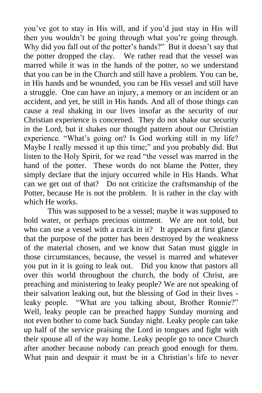you"ve got to stay in His will, and if you"d just stay in His will then you wouldn"t be going through what you"re going through. Why did you fall out of the potter's hands?" But it doesn't say that the potter dropped the clay. We rather read that the vessel was marred while it was in the hands of the potter, so we understand that you can be in the Church and still have a problem. You can be, in His hands and be wounded, you can be His vessel and still have a struggle. One can have an injury, a memory or an incident or an accident, and yet, be still in His hands. And all of those things can cause a real shaking in our lives insofar as the security of our Christian experience is concerned. They do not shake our security in the Lord, but it shakes our thought pattern about our Christian experience. "What's going on? Is God working still in my life? Maybe I really messed it up this time;" and you probably did. But listen to the Holy Spirit, for we read "the vessel was marred in the hand of the potter. These words do not blame the Potter, they simply declare that the injury occurred while in His Hands. What can we get out of that? Do not criticize the craftsmanship of the Potter, because He is not the problem. It is rather in the clay with which He works.

This was supposed to be a vessel; maybe it was supposed to hold water, or perhaps precious ointment. We are not told, but who can use a vessel with a crack in it? It appears at first glance that the purpose of the potter has been destroyed by the weakness of the material chosen, and we know that Satan must giggle in those circumstances, because, the vessel is marred and whatever you put in it is going to leak out. Did you know that pastors all over this world throughout the church, the body of Christ, are preaching and ministering to leaky people? We are not speaking of their salvation leaking out, but the blessing of God in their lives leaky people. "What are you talking about, Brother Ronnie?" Well, leaky people can be preached happy Sunday morning and not even bother to come back Sunday night. Leaky people can take up half of the service praising the Lord in tongues and fight with their spouse all of the way home. Leaky people go to once Church after another because nobody can preach good enough for them. What pain and despair it must be in a Christian's life to never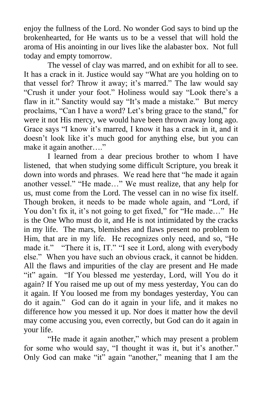enjoy the fullness of the Lord. No wonder God says to bind up the brokenhearted, for He wants us to be a vessel that will hold the aroma of His anointing in our lives like the alabaster box. Not full today and empty tomorrow.

The vessel of clay was marred, and on exhibit for all to see. It has a crack in it. Justice would say "What are you holding on to that vessel for? Throw it away; it's marred." The law would say "Crush it under your foot." Holiness would say "Look there"s a flaw in it." Sanctity would say "It's made a mistake." But mercy proclaims, "Can I have a word? Let's bring grace to the stand," for were it not His mercy, we would have been thrown away long ago. Grace says "I know it"s marred, I know it has a crack in it, and it doesn't look like it's much good for anything else, but you can make it again another...."

I learned from a dear precious brother to whom I have listened, that when studying some difficult Scripture, you break it down into words and phrases. We read here that "he made it again another vessel." "He made…" We must realize, that any help for us, must come from the Lord. The vessel can in no wise fix itself. Though broken, it needs to be made whole again, and "Lord, if You don't fix it, it's not going to get fixed," for "He made..." He is the One Who must do it, and He is not intimidated by the cracks in my life. The mars, blemishes and flaws present no problem to Him, that are in my life. He recognizes only need, and so, "He made it." "There it is, IT." "I see it Lord, along with everybody else." When you have such an obvious crack, it cannot be hidden. All the flaws and impurities of the clay are present and He made "it" again. "If You blessed me yesterday, Lord, will You do it again? If You raised me up out of my mess yesterday, You can do it again. If You loosed me from my bondages yesterday, You can do it again." God can do it again in your life, and it makes no difference how you messed it up. Nor does it matter how the devil may come accusing you, even correctly, but God can do it again in your life.

"He made it again another," which may present a problem for some who would say, "I thought it was it, but it's another." Only God can make "it" again "another," meaning that I am the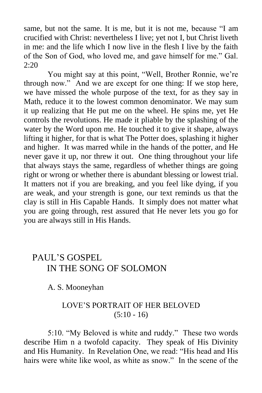same, but not the same. It is me, but it is not me, because "I am crucified with Christ: nevertheless I live; yet not I, but Christ liveth in me: and the life which I now live in the flesh I live by the faith of the Son of God, who loved me, and gave himself for me." Gal. 2:20

You might say at this point, "Well, Brother Ronnie, we're through now." And we are except for one thing: If we stop here, we have missed the whole purpose of the text, for as they say in Math, reduce it to the lowest common denominator. We may sum it up realizing that He put me on the wheel. He spins me, yet He controls the revolutions. He made it pliable by the splashing of the water by the Word upon me. He touched it to give it shape, always lifting it higher, for that is what The Potter does, splashing it higher and higher. It was marred while in the hands of the potter, and He never gave it up, nor threw it out. One thing throughout your life that always stays the same, regardless of whether things are going right or wrong or whether there is abundant blessing or lowest trial. It matters not if you are breaking, and you feel like dying, if you are weak, and your strength is gone, our text reminds us that the clay is still in His Capable Hands. It simply does not matter what you are going through, rest assured that He never lets you go for you are always still in His Hands.

# PAUL'S GOSPEL IN THE SONG OF SOLOMON

A. S. Mooneyhan

#### LOVE"S PORTRAIT OF HER BELOVED  $(5:10 - 16)$

5:10. "My Beloved is white and ruddy." These two words describe Him n a twofold capacity. They speak of His Divinity and His Humanity. In Revelation One, we read: "His head and His hairs were white like wool, as white as snow." In the scene of the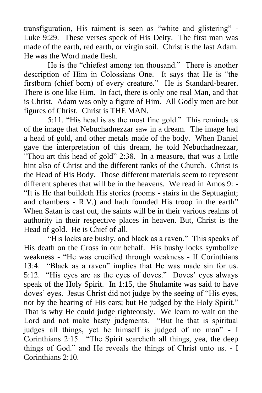transfiguration, His raiment is seen as "white and glistering" - Luke 9:29. These verses speck of His Deity. The first man was made of the earth, red earth, or virgin soil. Christ is the last Adam. He was the Word made flesh.

He is the "chiefest among ten thousand." There is another description of Him in Colossians One. It says that He is "the firstborn (chief born) of every creature." He is Standard-bearer. There is one like Him. In fact, there is only one real Man, and that is Christ. Adam was only a figure of Him. All Godly men are but figures of Christ. Christ is THE MAN.

5:11. "His head is as the most fine gold." This reminds us of the image that Nebuchadnezzar saw in a dream. The image had a head of gold, and other metals made of the body. When Daniel gave the interpretation of this dream, he told Nebuchadnezzar, "Thou art this head of gold" 2:38. In a measure, that was a little hint also of Christ and the different ranks of the Church. Christ is the Head of His Body. Those different materials seem to represent different spheres that will be in the heavens. We read in Amos 9: - "It is He that buildeth His stories (rooms - stairs in the Septuagint; and chambers - R.V.) and hath founded His troop in the earth" When Satan is cast out, the saints will be in their various realms of authority in their respective places in heaven. But, Christ is the Head of gold. He is Chief of all.

"His locks are bushy, and black as a raven." This speaks of His death on the Cross in our behalf. His bushy locks symbolize weakness - "He was crucified through weakness - II Corinthians 13:4. "Black as a raven" implies that He was made sin for us. 5:12. "His eyes are as the eyes of doves." Doves' eyes always speak of the Holy Spirit. In 1:15, the Shulamite was said to have doves" eyes. Jesus Christ did not judge by the seeing of "His eyes, nor by the hearing of His ears; but He judged by the Holy Spirit." That is why He could judge righteously. We learn to wait on the Lord and not make hasty judgments. "But he that is spiritual judges all things, yet he himself is judged of no man" - I Corinthians 2:15. "The Spirit searcheth all things, yea, the deep things of God." and He reveals the things of Christ unto us. - I Corinthians 2:10.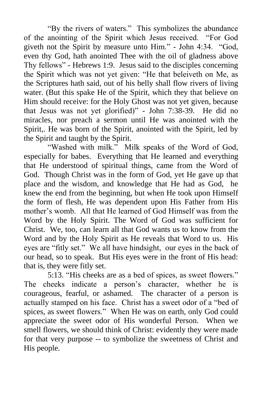"By the rivers of waters." This symbolizes the abundance of the anointing of the Spirit which Jesus received. "For God giveth not the Spirit by measure unto Him." - John 4:34. "God, even thy God, hath anointed Thee with the oil of gladness above Thy fellows" - Hebrews 1:9. Jesus said to the disciples concerning the Spirit which was not yet given: "He that beleiveth on Me, as the Scriptures hath said, out of his belly shall flow rivers of living water. (But this spake He of the Spirit, which they that believe on Him should receive: for the Holy Ghost was not yet given, because that Jesus was not yet glorified)" - John 7:38-39. He did no miracles, nor preach a sermon until He was anointed with the Spirit,. He was born of the Spirit, anointed with the Spirit, led by the Spirit and taught by the Spirit.

"Washed with milk." Milk speaks of the Word of God, especially for babes. Everything that He learned and everything that He understood of spiritual things, came from the Word of God. Though Christ was in the form of God, yet He gave up that place and the wisdom, and knowledge that He had as God, he knew the end from the beginning, but when He took upon Himself the form of flesh, He was dependent upon His Father from His mother"s womb. All that He learned of God Himself was from the Word by the Holy Spirit. The Word of God was sufficient for Christ. We, too, can learn all that God wants us to know from the Word and by the Holy Spirit as He reveals that Word to us. His eyes are "fitly set." We all have hindsight, our eyes in the back of our head, so to speak. But His eyes were in the front of His head: that is, they were fitly set.

5:13. "His cheeks are as a bed of spices, as sweet flowers." The cheeks indicate a person"s character, whether he is courageous, fearful, or ashamed. The character of a person is actually stamped on his face. Christ has a sweet odor of a "bed of spices, as sweet flowers." When He was on earth, only God could appreciate the sweet odor of His wonderful Person. When we smell flowers, we should think of Christ: evidently they were made for that very purpose -- to symbolize the sweetness of Christ and His people.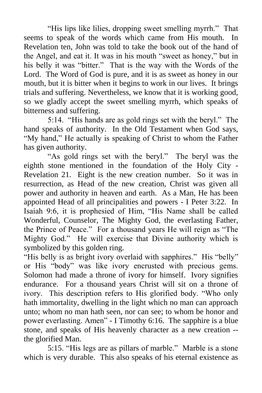"His lips like lilies, dropping sweet smelling myrrh." That seems to speak of the words which came from His mouth. In Revelation ten, John was told to take the book out of the hand of the Angel, and eat it. It was in his mouth "sweet as honey," but in his belly it was "bitter." That is the way with the Words of the Lord. The Word of God is pure, and it is as sweet as honey in our mouth, but it is bitter when it begins to work in our lives. It brings trials and suffering. Nevertheless, we know that it is working good, so we gladly accept the sweet smelling myrrh, which speaks of bitterness and suffering.

5:14. "His hands are as gold rings set with the beryl." The hand speaks of authority. In the Old Testament when God says, "My hand," He actually is speaking of Christ to whom the Father has given authority.

"As gold rings set with the beryl." The beryl was the eighth stone mentioned in the foundation of the Holy City - Revelation 21. Eight is the new creation number. So it was in resurrection, as Head of the new creation, Christ was given all power and authority in heaven and earth. As a Man, He has been appointed Head of all principalities and powers - I Peter 3:22. In Isaiah 9:6, it is prophesied of Him, "His Name shall be called Wonderful, Counselor, The Mighty God, the everlasting Father, the Prince of Peace." For a thousand years He will reign as "The Mighty God." He will exercise that Divine authority which is symbolized by this golden ring.

"His belly is as bright ivory overlaid with sapphires." His "belly" or His "body" was like ivory encrusted with precious gems. Solomon had made a throne of ivory for himself. Ivory signifies endurance. For a thousand years Christ will sit on a throne of ivory. This description refers to His glorified body. "Who only hath immortality, dwelling in the light which no man can approach unto; whom no man hath seen, nor can see; to whom be honor and power everlasting. Amen" - I Timothy 6:16. The sapphire is a blue stone, and speaks of His heavenly character as a new creation - the glorified Man.

5:15. "His legs are as pillars of marble." Marble is a stone which is very durable. This also speaks of his eternal existence as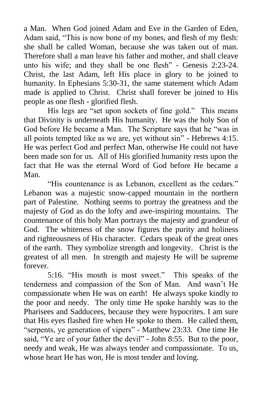a Man. When God joined Adam and Eve in the Garden of Eden, Adam said, "This is now bone of my bones, and flesh of my flesh: she shall be called Woman, because she was taken out of man. Therefore shall a man leave his father and mother, and shall cleave unto his wife; and they shall be one flesh" - Genesis 2:23-24. Christ, the last Adam, left His place in glory to be joined to humanity. In Ephesians 5:30-31, the same statement which Adam made is applied to Christ. Christ shall forever be joined to His people as one flesh - glorified flesh.

His legs are "set upon sockets of fine gold." This means that Divinity is underneath His humanity. He was the holy Son of God before He became a Man. The Scripture says that he "was in all points tempted like as we are, yet without sin" - Hebrews 4:15. He was perfect God and perfect Man, otherwise He could not have been made son for us. All of His glorified humanity rests upon the fact that He was the eternal Word of God before He became a Man.

"His countenance is as Lebanon, excellent as the cedars." Lebanon was a majestic snow-capped mountain in the northern part of Palestine. Nothing seems to portray the greatness and the majesty of God as do the lofty and awe-inspiring mountains. The countenance of this holy Man portrays the majesty and grandeur of God. The whiteness of the snow figures the purity and holiness and righteousness of His character. Cedars speak of the great ones of the earth. They symbolize strength and longevity. Christ is the greatest of all men. In strength and majesty He will be supreme forever.

5:16. "His mouth is most sweet." This speaks of the tenderness and compassion of the Son of Man. And wasn"t He compassionate when He was on earth! He always spoke kindly to the poor and needy. The only time He spoke harshly was to the Pharisees and Sadducees, because they were hypocrites. I am sure that His eyes flashed fire when He spoke to them. He called them, "serpents, ye generation of vipers" - Matthew 23:33. One time He said, "Ye are of your father the devil" - John 8:55. But to the poor, needy and weak, He was always tender and compassionate. To us, whose heart He has won, He is most tender and loving.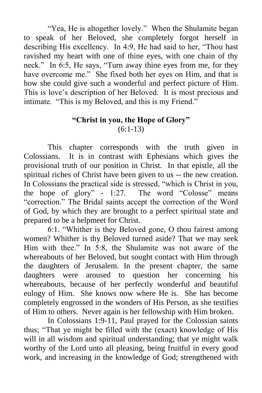"Yea, He is altogether lovely." When the Shulamite began to speak of her Beloved, she completely forgot herself in describing His excellency. In 4:9, He had said to her, "Thou hast ravished my heart with one of thine eyes, with one chain of thy neck." In 6:5, He says, "Turn away thine eyes from me, for they have overcome me." She fixed both her eyes on Him, and that is how she could give such a wonderful and perfect picture of Him. This is love"s description of her Beloved. It is most precious and intimate. "This is my Beloved, and this is my Friend."

#### **"Christ in you, the Hope of Glory"** (6:1-13)

This chapter corresponds with the truth given in Colossians. It is in contrast with Ephesians which gives the provisional truth of our position in Christ. In that epistle, all the spiritual riches of Christ have been given to us -- the new creation. In Colossians the practical side is stressed, "which is Christ in you, the hope of glory"  $-1:27$ . The word "Colosse" means "correction." The Bridal saints accept the correction of the Word of God, by which they are brought to a perfect spiritual state and prepared to be a helpmeet for Christ.

6:1. "Whither is they Beloved gone, O thou fairest among women? Whither is thy Beloved turned aside? That we may seek Him with thee." In 5:8, the Shulamite was not aware of the whereabouts of her Beloved, but sought contact with Him through the daughters of Jerusalem. In the present chapter, the same daughters were aroused to question her concerning his whereabouts, because of her perfectly wonderful and beautiful eulogy of Him. She knows now where He is. She has become completely engrossed in the wonders of His Person, as she testifies of Him to others. Never again is her fellowship with Him broken.

In Colossians 1:9-11, Paul prayed for the Colossian saints thus; "That ye might be filled with the (exact) knowledge of His will in all wisdom and spiritual understanding; that ye might walk worthy of the Lord unto all pleasing, being fruitful in every good work, and increasing in the knowledge of God; strengthened with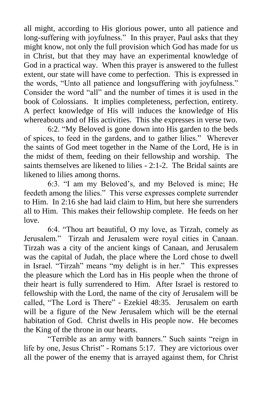all might, according to His glorious power, unto all patience and long-suffering with joyfulness." In this prayer, Paul asks that they might know, not only the full provision which God has made for us in Christ, but that they may have an experimental knowledge of God in a practical way. When this prayer is answered to the fullest extent, our state will have come to perfection. This is expressed in the words, "Unto all patience and longsuffering with joyfulness." Consider the word "all" and the number of times it is used in the book of Colossians. It implies completeness, perfection, entirety. A perfect knowledge of His will induces the knowledge of His whereabouts and of His activities. This she expresses in verse two.

6:2. "My Beloved is gone down into His garden to the beds of spices, to feed in the gardens, and to gather lilies." Wherever the saints of God meet together in the Name of the Lord, He is in the midst of them, feeding on their fellowship and worship. The saints themselves are likened to lilies - 2:1-2. The Bridal saints are likened to lilies among thorns.

6:3. "I am my Beloved"s, and my Beloved is mine; He feedeth among the lilies." This verse expresses complete surrender to Him. In 2:16 she had laid claim to Him, but here she surrenders all to Him. This makes their fellowship complete. He feeds on her love.

6:4. "Thou art beautiful, O my love, as Tirzah, comely as Jerusalem." Tirzah and Jerusalem were royal cities in Canaan. Tirzah was a city of the ancient kings of Canaan, and Jerusalem was the capital of Judah, the place where the Lord chose to dwell in Israel. "Tirzah" means "my delight is in her." This expresses the pleasure which the Lord has in His people when the throne of their heart is fully surrendered to Him. After Israel is restored to fellowship with the Lord, the name of the city of Jerusalem will be called, "The Lord is There" - Ezekiel 48:35. Jerusalem on earth will be a figure of the New Jerusalem which will be the eternal habitation of God. Christ dwells in His people now. He becomes the King of the throne in our hearts.

"Terrible as an army with banners." Such saints "reign in life by one, Jesus Christ" - Romans 5:17. They are victorious over all the power of the enemy that is arrayed against them, for Christ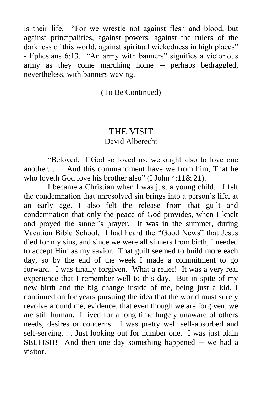is their life. "For we wrestle not against flesh and blood, but against principalities, against powers, against the rulers of the darkness of this world, against spiritual wickedness in high places" - Ephesians 6:13. "An army with banners" signifies a victorious army as they come marching home -- perhaps bedraggled, nevertheless, with banners waving.

(To Be Continued)

#### THE VISIT David Alberecht

"Beloved, if God so loved us, we ought also to love one another. . . . And this commandment have we from him, That he who loveth God love his brother also" (I John 4:11& 21).

I became a Christian when I was just a young child. I felt the condemnation that unresolved sin brings into a person"s life, at an early age. I also felt the release from that guilt and condemnation that only the peace of God provides, when I knelt and prayed the sinner"s prayer. It was in the summer, during Vacation Bible School. I had heard the "Good News" that Jesus died for my sins, and since we were all sinners from birth, I needed to accept Him as my savior. That guilt seemed to build more each day, so by the end of the week I made a commitment to go forward. I was finally forgiven. What a relief! It was a very real experience that I remember well to this day. But in spite of my new birth and the big change inside of me, being just a kid, I continued on for years pursuing the idea that the world must surely revolve around me, evidence, that even though we are forgiven, we are still human. I lived for a long time hugely unaware of others needs, desires or concerns. I was pretty well self-absorbed and self-serving. . . Just looking out for number one. I was just plain SELFISH! And then one day something happened -- we had a visitor.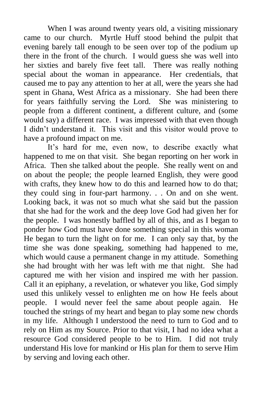When I was around twenty years old, a visiting missionary came to our church. Myrtle Huff stood behind the pulpit that evening barely tall enough to be seen over top of the podium up there in the front of the church. I would guess she was well into her sixties and barely five feet tall. There was really nothing special about the woman in appearance. Her credentials, that caused me to pay any attention to her at all, were the years she had spent in Ghana, West Africa as a missionary. She had been there for years faithfully serving the Lord. She was ministering to people from a different continent, a different culture, and (some would say) a different race. I was impressed with that even though I didn"t understand it. This visit and this visitor would prove to have a profound impact on me.

It's hard for me, even now, to describe exactly what happened to me on that visit. She began reporting on her work in Africa. Then she talked about the people. She really went on and on about the people; the people learned English, they were good with crafts, they knew how to do this and learned how to do that; they could sing in four-part harmony. . . On and on she went. Looking back, it was not so much what she said but the passion that she had for the work and the deep love God had given her for the people. I was honestly baffled by all of this, and as I began to ponder how God must have done something special in this woman He began to turn the light on for me. I can only say that, by the time she was done speaking, something had happened to me, which would cause a permanent change in my attitude. Something she had brought with her was left with me that night. She had captured me with her vision and inspired me with her passion. Call it an epiphany, a revelation, or whatever you like, God simply used this unlikely vessel to enlighten me on how He feels about people. I would never feel the same about people again. He touched the strings of my heart and began to play some new chords in my life. Although I understood the need to turn to God and to rely on Him as my Source. Prior to that visit, I had no idea what a resource God considered people to be to Him. I did not truly understand His love for mankind or His plan for them to serve Him by serving and loving each other.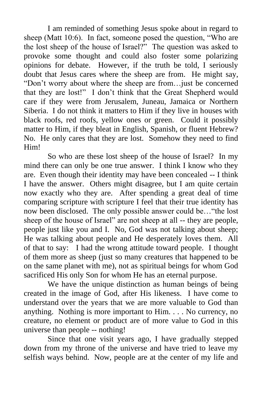I am reminded of something Jesus spoke about in regard to sheep (Matt 10:6). In fact, someone posed the question, "Who are the lost sheep of the house of Israel?" The question was asked to provoke some thought and could also foster some polarizing opinions for debate. However, if the truth be told, I seriously doubt that Jesus cares where the sheep are from. He might say, "Don"t worry about where the sheep are from…just be concerned that they are lost!" I don"t think that the Great Shepherd would care if they were from Jerusalem, Juneau, Jamaica or Northern Siberia. I do not think it matters to Him if they live in houses with black roofs, red roofs, yellow ones or green. Could it possibly matter to Him, if they bleat in English, Spanish, or fluent Hebrew? No. He only cares that they are lost. Somehow they need to find Him!

So who are these lost sheep of the house of Israel? In my mind there can only be one true answer. I think I know who they are. Even though their identity may have been concealed -- I think I have the answer. Others might disagree, but I am quite certain now exactly who they are. After spending a great deal of time comparing scripture with scripture I feel that their true identity has now been disclosed. The only possible answer could be…"the lost sheep of the house of Israel" are not sheep at all -- they are people, people just like you and I. No, God was not talking about sheep; He was talking about people and He desperately loves them. All of that to say: I had the wrong attitude toward people. I thought of them more as sheep (just so many creatures that happened to be on the same planet with me), not as spiritual beings for whom God sacrificed His only Son for whom He has an eternal purpose.

We have the unique distinction as human beings of being created in the image of God, after His likeness. I have come to understand over the years that we are more valuable to God than anything. Nothing is more important to Him. . . . No currency, no creature, no element or product are of more value to God in this universe than people -- nothing!

Since that one visit years ago, I have gradually stepped down from my throne of the universe and have tried to leave my selfish ways behind. Now, people are at the center of my life and